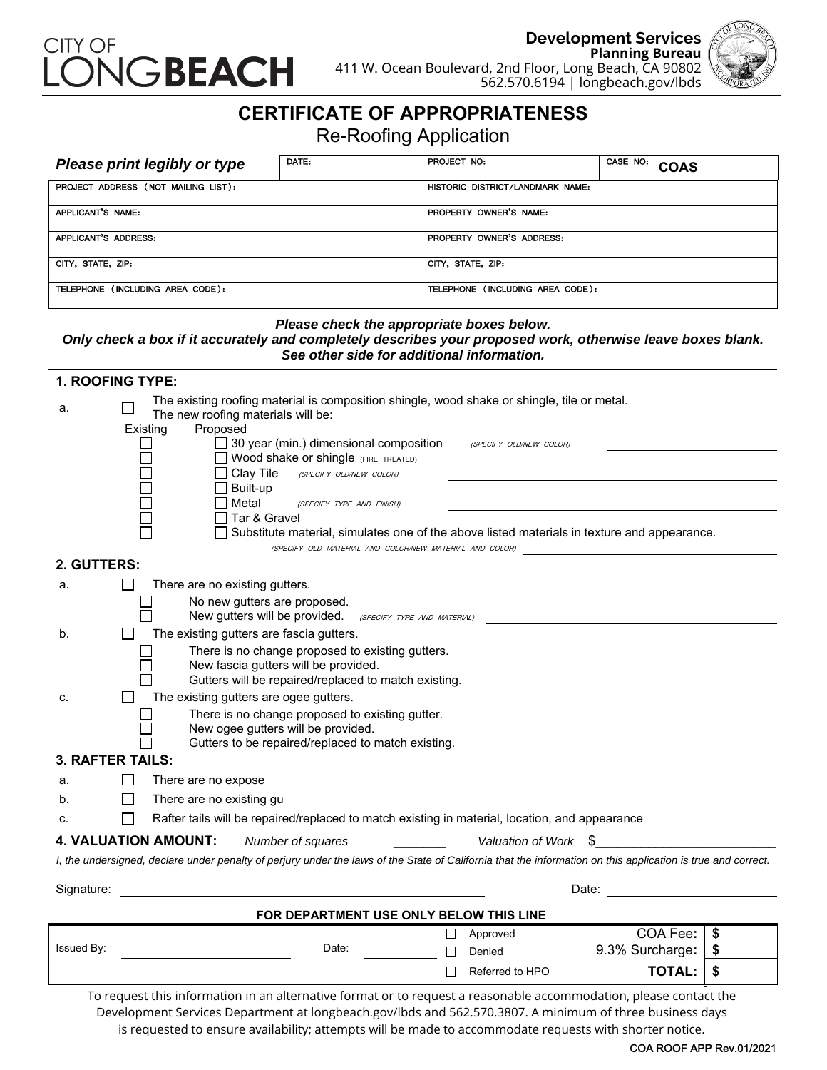

**Development Services Planning Bureau** 411 W. Ocean Boulevard, 2nd Floor, Long Beach, CA 90802 562.570.6194 | longbeach.gov/lbds



## **CERTIFICATE OF APPROPRIATENESS**

Re-Roofing Application

| Please print legibly or type        | DATE: | PROJECT NO:                      | CASE NO:<br><b>COAS</b> |
|-------------------------------------|-------|----------------------------------|-------------------------|
| PROJECT ADDRESS (NOT MAILING LIST): |       | HISTORIC DISTRICT/LANDMARK NAME: |                         |
| APPLICANT'S NAME:                   |       | PROPERTY OWNER'S NAME:           |                         |
| APPLICANT'S ADDRESS:                |       | PROPERTY OWNER'S ADDRESS:        |                         |
| CITY, STATE, ZIP:                   |       | CITY, STATE, ZIP:                |                         |
| TELEPHONE (INCLUDING AREA CODE):    |       | TELEPHONE (INCLUDING AREA CODE): |                         |

*Please check the appropriate boxes below.* 

#### *Only check a box if it accurately and completely describes your proposed work, otherwise leave boxes blank. See other side for additional information.*

| 1. ROOFING TYPE:        |                                                                                                                                                              |    |  |  |  |
|-------------------------|--------------------------------------------------------------------------------------------------------------------------------------------------------------|----|--|--|--|
| a.                      | The existing roofing material is composition shingle, wood shake or shingle, tile or metal.<br>The new roofing materials will be:                            |    |  |  |  |
|                         | Proposed<br>Existing                                                                                                                                         |    |  |  |  |
|                         | $\Box$ 30 year (min.) dimensional composition<br>(SPECIFY OLD/NEW COLOR)                                                                                     |    |  |  |  |
|                         | Wood shake or shingle (FIRE TREATED)                                                                                                                         |    |  |  |  |
|                         | $\Box$ Clay Tile<br>(SPECIFY OLD/NEW COLOR)                                                                                                                  |    |  |  |  |
|                         | $\Box$ Built-up<br>Metal                                                                                                                                     |    |  |  |  |
|                         | (SPECIFY TYPE AND FINISH)<br>Tar & Gravel                                                                                                                    |    |  |  |  |
|                         | Substitute material, simulates one of the above listed materials in texture and appearance.                                                                  |    |  |  |  |
|                         | (SPECIFY OLD MATERIAL AND COLOR/NEW MATERIAL AND COLOR)                                                                                                      |    |  |  |  |
| 2. GUTTERS:             |                                                                                                                                                              |    |  |  |  |
| a.                      | There are no existing gutters.                                                                                                                               |    |  |  |  |
|                         | No new gutters are proposed.                                                                                                                                 |    |  |  |  |
|                         | New gutters will be provided.<br>(SPECIFY TYPE AND MATERIAL)                                                                                                 |    |  |  |  |
| b.                      | The existing gutters are fascia gutters.                                                                                                                     |    |  |  |  |
|                         | There is no change proposed to existing gutters.                                                                                                             |    |  |  |  |
|                         | New fascia gutters will be provided.                                                                                                                         |    |  |  |  |
| c.                      | Gutters will be repaired/replaced to match existing.<br>The existing gutters are ogee gutters.                                                               |    |  |  |  |
|                         | There is no change proposed to existing gutter.                                                                                                              |    |  |  |  |
|                         | New ogee gutters will be provided.                                                                                                                           |    |  |  |  |
|                         | Gutters to be repaired/replaced to match existing.                                                                                                           |    |  |  |  |
| <b>3. RAFTER TAILS:</b> |                                                                                                                                                              |    |  |  |  |
| а.                      | There are no expose                                                                                                                                          |    |  |  |  |
| b.                      | $\perp$<br>There are no existing gu                                                                                                                          |    |  |  |  |
| C.                      | Rafter tails will be repaired/replaced to match existing in material, location, and appearance                                                               |    |  |  |  |
|                         | <b>4. VALUATION AMOUNT:</b><br>Number of squares<br>Valuation of Work \$                                                                                     |    |  |  |  |
|                         | I, the undersigned, declare under penalty of perjury under the laws of the State of California that the information on this application is true and correct. |    |  |  |  |
|                         |                                                                                                                                                              |    |  |  |  |
| Signature:              | Date:                                                                                                                                                        |    |  |  |  |
|                         | FOR DEPARTMENT USE ONLY BELOW THIS LINE                                                                                                                      |    |  |  |  |
|                         | COA Fee:<br>Approved<br>ப                                                                                                                                    | \$ |  |  |  |
| Issued By:              | 9.3% Surcharge:<br>Date:<br>$\Box$<br>Denied                                                                                                                 | \$ |  |  |  |
|                         | <b>TOTAL:</b><br>П<br>Referred to HPO                                                                                                                        | \$ |  |  |  |
|                         | To request this information in an alternative format or to request a reasonable accommodation, please contact the                                            |    |  |  |  |

Development Services Department at longbeach.gov/lbds and 562.570.3807. A minimum of three business days is requested to ensure availability; attempts will be made to accommodate requests with shorter notice.

#### COA ROOF APP Rev.01/2021